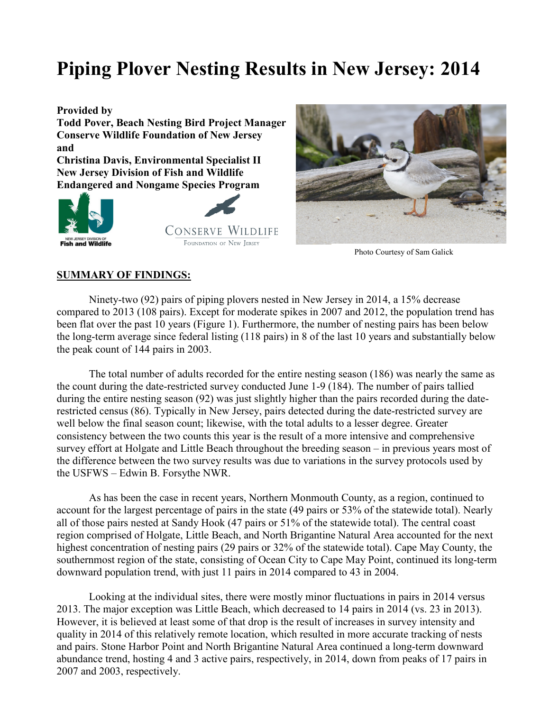# **Piping Plover Nesting Results in New Jersey: 2014**

**Provided by** 

**Todd Pover, Beach Nesting Bird Project Manager Conserve Wildlife Foundation of New Jersey and** 

**Christina Davis, Environmental Specialist II New Jersey Division of Fish and Wildlife Endangered and Nongame Species Program** 







Photo Courtesy of Sam Galick

#### **SUMMARY OF FINDINGS:**

 Ninety-two (92) pairs of piping plovers nested in New Jersey in 2014, a 15% decrease compared to 2013 (108 pairs). Except for moderate spikes in 2007 and 2012, the population trend has been flat over the past 10 years (Figure 1). Furthermore, the number of nesting pairs has been below the long-term average since federal listing (118 pairs) in 8 of the last 10 years and substantially below the peak count of 144 pairs in 2003.

 The total number of adults recorded for the entire nesting season (186) was nearly the same as the count during the date-restricted survey conducted June 1-9 (184). The number of pairs tallied during the entire nesting season (92) was just slightly higher than the pairs recorded during the daterestricted census (86). Typically in New Jersey, pairs detected during the date-restricted survey are well below the final season count; likewise, with the total adults to a lesser degree. Greater consistency between the two counts this year is the result of a more intensive and comprehensive survey effort at Holgate and Little Beach throughout the breeding season – in previous years most of the difference between the two survey results was due to variations in the survey protocols used by the USFWS – Edwin B. Forsythe NWR.

 As has been the case in recent years, Northern Monmouth County, as a region, continued to account for the largest percentage of pairs in the state (49 pairs or 53% of the statewide total). Nearly all of those pairs nested at Sandy Hook (47 pairs or 51% of the statewide total). The central coast region comprised of Holgate, Little Beach, and North Brigantine Natural Area accounted for the next highest concentration of nesting pairs (29 pairs or 32% of the statewide total). Cape May County, the southernmost region of the state, consisting of Ocean City to Cape May Point, continued its long-term downward population trend, with just 11 pairs in 2014 compared to 43 in 2004.

 Looking at the individual sites, there were mostly minor fluctuations in pairs in 2014 versus 2013. The major exception was Little Beach, which decreased to 14 pairs in 2014 (vs. 23 in 2013). However, it is believed at least some of that drop is the result of increases in survey intensity and quality in 2014 of this relatively remote location, which resulted in more accurate tracking of nests and pairs. Stone Harbor Point and North Brigantine Natural Area continued a long-term downward abundance trend, hosting 4 and 3 active pairs, respectively, in 2014, down from peaks of 17 pairs in 2007 and 2003, respectively.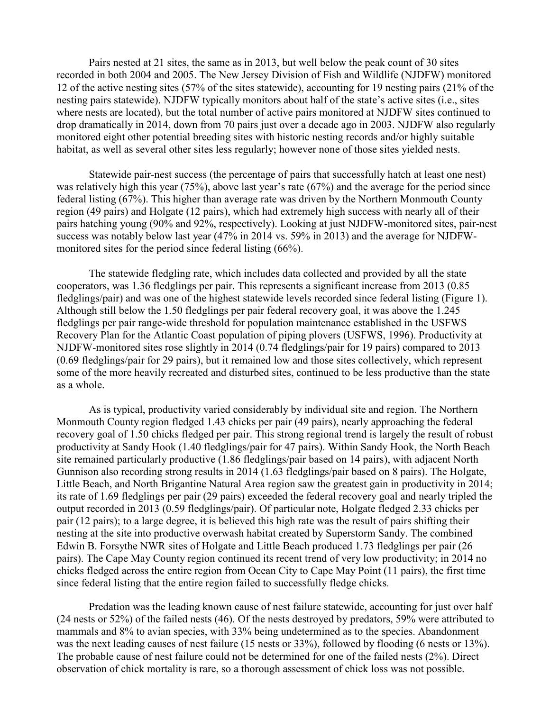Pairs nested at 21 sites, the same as in 2013, but well below the peak count of 30 sites recorded in both 2004 and 2005. The New Jersey Division of Fish and Wildlife (NJDFW) monitored 12 of the active nesting sites (57% of the sites statewide), accounting for 19 nesting pairs (21% of the nesting pairs statewide). NJDFW typically monitors about half of the state's active sites (i.e., sites where nests are located), but the total number of active pairs monitored at NJDFW sites continued to drop dramatically in 2014, down from 70 pairs just over a decade ago in 2003. NJDFW also regularly monitored eight other potential breeding sites with historic nesting records and/or highly suitable habitat, as well as several other sites less regularly; however none of those sites yielded nests.

 Statewide pair-nest success (the percentage of pairs that successfully hatch at least one nest) was relatively high this year (75%), above last year's rate (67%) and the average for the period since federal listing (67%). This higher than average rate was driven by the Northern Monmouth County region (49 pairs) and Holgate (12 pairs), which had extremely high success with nearly all of their pairs hatching young (90% and 92%, respectively). Looking at just NJDFW-monitored sites, pair-nest success was notably below last year (47% in 2014 vs. 59% in 2013) and the average for NJDFWmonitored sites for the period since federal listing (66%).

The statewide fledgling rate, which includes data collected and provided by all the state cooperators, was 1.36 fledglings per pair. This represents a significant increase from 2013 (0.85 fledglings/pair) and was one of the highest statewide levels recorded since federal listing (Figure 1). Although still below the 1.50 fledglings per pair federal recovery goal, it was above the 1.245 fledglings per pair range-wide threshold for population maintenance established in the USFWS Recovery Plan for the Atlantic Coast population of piping plovers (USFWS, 1996). Productivity at NJDFW-monitored sites rose slightly in 2014 (0.74 fledglings/pair for 19 pairs) compared to 2013 (0.69 fledglings/pair for 29 pairs), but it remained low and those sites collectively, which represent some of the more heavily recreated and disturbed sites, continued to be less productive than the state as a whole.

As is typical, productivity varied considerably by individual site and region. The Northern Monmouth County region fledged 1.43 chicks per pair (49 pairs), nearly approaching the federal recovery goal of 1.50 chicks fledged per pair. This strong regional trend is largely the result of robust productivity at Sandy Hook (1.40 fledglings/pair for 47 pairs). Within Sandy Hook, the North Beach site remained particularly productive (1.86 fledglings/pair based on 14 pairs), with adjacent North Gunnison also recording strong results in 2014 (1.63 fledglings/pair based on 8 pairs). The Holgate, Little Beach, and North Brigantine Natural Area region saw the greatest gain in productivity in 2014; its rate of 1.69 fledglings per pair (29 pairs) exceeded the federal recovery goal and nearly tripled the output recorded in 2013 (0.59 fledglings/pair). Of particular note, Holgate fledged 2.33 chicks per pair (12 pairs); to a large degree, it is believed this high rate was the result of pairs shifting their nesting at the site into productive overwash habitat created by Superstorm Sandy. The combined Edwin B. Forsythe NWR sites of Holgate and Little Beach produced 1.73 fledglings per pair (26 pairs). The Cape May County region continued its recent trend of very low productivity; in 2014 no chicks fledged across the entire region from Ocean City to Cape May Point (11 pairs), the first time since federal listing that the entire region failed to successfully fledge chicks.

Predation was the leading known cause of nest failure statewide, accounting for just over half (24 nests or 52%) of the failed nests (46). Of the nests destroyed by predators, 59% were attributed to mammals and 8% to avian species, with 33% being undetermined as to the species. Abandonment was the next leading causes of nest failure (15 nests or 33%), followed by flooding (6 nests or 13%). The probable cause of nest failure could not be determined for one of the failed nests (2%). Direct observation of chick mortality is rare, so a thorough assessment of chick loss was not possible.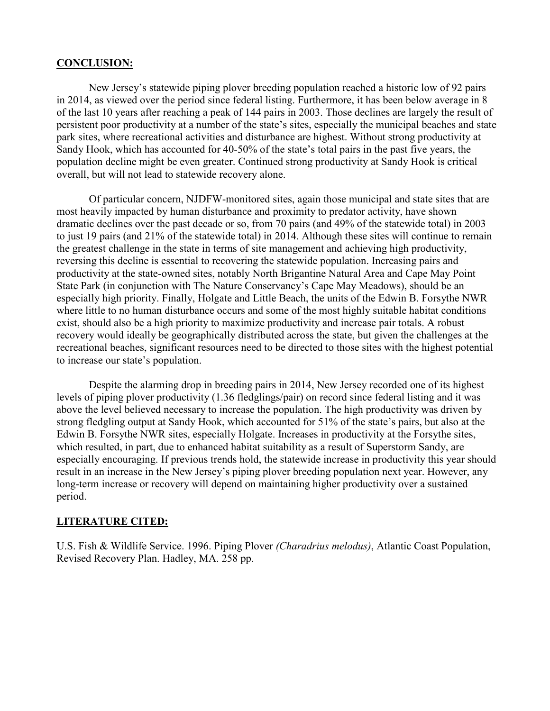#### **CONCLUSION:**

New Jersey's statewide piping plover breeding population reached a historic low of 92 pairs in 2014, as viewed over the period since federal listing. Furthermore, it has been below average in 8 of the last 10 years after reaching a peak of 144 pairs in 2003. Those declines are largely the result of persistent poor productivity at a number of the state's sites, especially the municipal beaches and state park sites, where recreational activities and disturbance are highest. Without strong productivity at Sandy Hook, which has accounted for 40-50% of the state's total pairs in the past five years, the population decline might be even greater. Continued strong productivity at Sandy Hook is critical overall, but will not lead to statewide recovery alone.

 Of particular concern, NJDFW-monitored sites, again those municipal and state sites that are most heavily impacted by human disturbance and proximity to predator activity, have shown dramatic declines over the past decade or so, from 70 pairs (and 49% of the statewide total) in 2003 to just 19 pairs (and 21% of the statewide total) in 2014. Although these sites will continue to remain the greatest challenge in the state in terms of site management and achieving high productivity, reversing this decline is essential to recovering the statewide population. Increasing pairs and productivity at the state-owned sites, notably North Brigantine Natural Area and Cape May Point State Park (in conjunction with The Nature Conservancy's Cape May Meadows), should be an especially high priority. Finally, Holgate and Little Beach, the units of the Edwin B. Forsythe NWR where little to no human disturbance occurs and some of the most highly suitable habitat conditions exist, should also be a high priority to maximize productivity and increase pair totals. A robust recovery would ideally be geographically distributed across the state, but given the challenges at the recreational beaches, significant resources need to be directed to those sites with the highest potential to increase our state's population.

 Despite the alarming drop in breeding pairs in 2014, New Jersey recorded one of its highest levels of piping plover productivity (1.36 fledglings/pair) on record since federal listing and it was above the level believed necessary to increase the population. The high productivity was driven by strong fledgling output at Sandy Hook, which accounted for 51% of the state's pairs, but also at the Edwin B. Forsythe NWR sites, especially Holgate. Increases in productivity at the Forsythe sites, which resulted, in part, due to enhanced habitat suitability as a result of Superstorm Sandy, are especially encouraging. If previous trends hold, the statewide increase in productivity this year should result in an increase in the New Jersey's piping plover breeding population next year. However, any long-term increase or recovery will depend on maintaining higher productivity over a sustained period.

### **LITERATURE CITED:**

U.S. Fish & Wildlife Service. 1996. Piping Plover *(Charadrius melodus)*, Atlantic Coast Population, Revised Recovery Plan. Hadley, MA. 258 pp.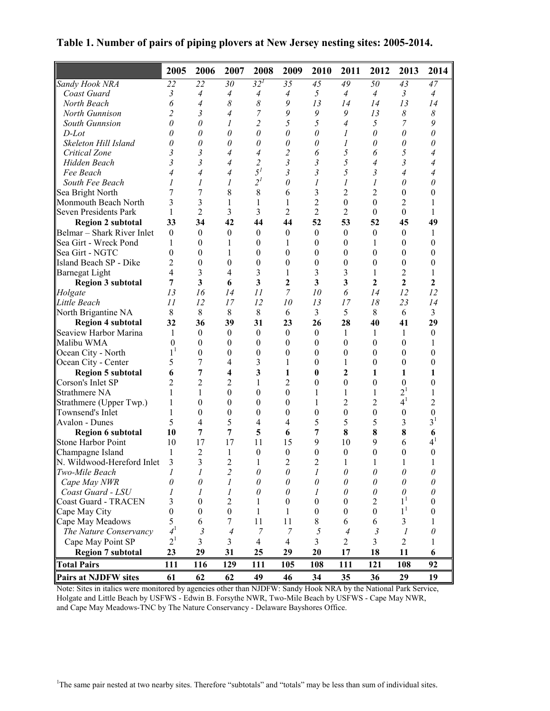**Table 1. Number of pairs of piping plovers at New Jersey nesting sites: 2005-2014.**

|                              | 2005             | 2006             | 2007             | 2008             | 2009             | 2010                    | 2011             | 2012             | 2013                  | 2014                  |
|------------------------------|------------------|------------------|------------------|------------------|------------------|-------------------------|------------------|------------------|-----------------------|-----------------------|
| Sandy Hook NRA               | 22               | 22               | 30               | 32 <sup>1</sup>  | 35               | 45                      | 49               | 50               | 43                    | 47                    |
| Coast Guard                  | 3                | $\overline{4}$   | $\overline{4}$   | 4                | 4                | 5                       | $\overline{4}$   | $\overline{4}$   | $\mathfrak{Z}$        | $\overline{4}$        |
| North Beach                  | 6                | $\overline{4}$   | 8                | 8                | 9                | 13                      | 14               | 14               | 13                    | 14                    |
| North Gunnison               | $\overline{c}$   | 3                | $\overline{4}$   | $\overline{7}$   | 9                | 9                       | 9                | 13               | $\boldsymbol{\delta}$ | $\boldsymbol{\delta}$ |
| South Gunnsion               | 0                | 0                | 1                | $\overline{2}$   | 5                | 5                       | $\overline{4}$   | 5                | 7                     | 9                     |
| $D$ -Lot                     | 0                | 0                | 0                | $\theta$         | 0                | $\theta$                | 1                | $\theta$         | 0                     | 0                     |
| Skeleton Hill Island         | 0                | $\theta$         | 0                | $\theta$         | $\theta$         | $\theta$                | 1                | $\theta$         | 0                     | 0                     |
| Critical Zone                | 3                | 3                | $\overline{4}$   | $\overline{4}$   | $\overline{c}$   | 6                       | 5                | 6                | 5                     | 4                     |
| Hidden Beach                 | 3                | 3                | $\overline{4}$   | $\overline{2}$   | $\mathfrak{z}$   | $\mathfrak{Z}$          | 5                | $\overline{4}$   | 3                     | 4                     |
| Fee Beach                    | 4                | $\overline{4}$   | 4                | $5^{\prime}$     | $\mathfrak{z}$   | $\mathfrak{Z}$          | 5                | 3                | 4                     | 4                     |
| South Fee Beach              | 1                | 1                | 1                | $2^{l}$          | $\theta$         | $\mathcal I$            | 1                | 1                | 0                     | 0                     |
| Sea Bright North             | 7                | 7                | 8                | 8                | 6                | 3                       | $\overline{2}$   | 2                | $\theta$              | 0                     |
| Monmouth Beach North         | 3                | 3                | 1                | 1                | 1                | $\overline{2}$          | $\theta$         | $\boldsymbol{0}$ | $\overline{c}$        | 1                     |
| <b>Seven Presidents Park</b> | 1                | $\overline{2}$   | 3                | 3                | 2                | $\overline{2}$          | 2                | $\boldsymbol{0}$ | $\theta$              | 1                     |
| <b>Region 2 subtotal</b>     | 33               | 34               | 42               | 44               | 44               | 52                      | 53               | 52               | 45                    | 49                    |
| Belmar - Shark River Inlet   | $\boldsymbol{0}$ | $\boldsymbol{0}$ | $\boldsymbol{0}$ | $\boldsymbol{0}$ | $\boldsymbol{0}$ | $\boldsymbol{0}$        | $\boldsymbol{0}$ | $\boldsymbol{0}$ | $\boldsymbol{0}$      | 1                     |
| Sea Girt - Wreck Pond        | 1                | $\theta$         | 1                | $\boldsymbol{0}$ | 1                | $\boldsymbol{0}$        | $\boldsymbol{0}$ | $\mathbf{1}$     | $\boldsymbol{0}$      | $\overline{0}$        |
| Sea Girt - NGTC              | 0                | $\theta$         | 1                | $\boldsymbol{0}$ | $\boldsymbol{0}$ | $\boldsymbol{0}$        | $\boldsymbol{0}$ | $\boldsymbol{0}$ | $\boldsymbol{0}$      | $\overline{0}$        |
| Island Beach SP - Dike       | $\overline{2}$   | $\theta$         | $\boldsymbol{0}$ | $\boldsymbol{0}$ | $\boldsymbol{0}$ | $\theta$                | $\boldsymbol{0}$ | $\boldsymbol{0}$ | $\boldsymbol{0}$      | $\boldsymbol{0}$      |
| Barnegat Light               | 4                | 3                | $\overline{4}$   | 3                | 1                | 3                       | 3                | 1                | 2                     | 1                     |
| <b>Region 3 subtotal</b>     | 7                | 3                | 6                | 3                | $\mathbf{2}$     | $\overline{\mathbf{3}}$ | 3                | $\overline{2}$   | $\mathbf{2}$          | $\mathbf{2}$          |
| Holgate                      | 13               | 16               | 14               | 11               | 7                | 10                      | 6                | 14               | 12                    | 12                    |
| Little Beach                 | II               | 12               | 17               | 12               | 10               | 13                      | 17               | 18               | 23                    | 14                    |
| North Brigantine NA          | 8                | 8                | 8                | 8                | 6                | 3                       | 5                | 8                | 6                     | $\overline{3}$        |
| <b>Region 4 subtotal</b>     | 32               | 36               | 39               | 31               | 23               | 26                      | 28               | 40               | 41                    | 29                    |
| Seaview Harbor Marina        | 1                | $\theta$         | $\boldsymbol{0}$ | $\boldsymbol{0}$ | $\boldsymbol{0}$ | $\boldsymbol{0}$        | 1                | $\mathbf{1}$     | 1                     | $\boldsymbol{0}$      |
| Malibu WMA                   | $\theta$         | $\theta$         | $\boldsymbol{0}$ | $\theta$         | $\boldsymbol{0}$ | $\theta$                | $\boldsymbol{0}$ | $\boldsymbol{0}$ | $\theta$              | 1                     |
| Ocean City - North           | $1^1$            | $\theta$         | $\boldsymbol{0}$ | $\boldsymbol{0}$ | $\boldsymbol{0}$ | $\theta$                | $\boldsymbol{0}$ | $\boldsymbol{0}$ | $\theta$              | $\theta$              |
| Ocean City - Center          | 5                | 7                | $\overline{4}$   | 3                | 1                | $\theta$                | 1                | $\boldsymbol{0}$ | $\boldsymbol{0}$      | $\boldsymbol{0}$      |
| <b>Region 5 subtotal</b>     | 6                | 7                | 4                | 3                | 1                | $\bf{0}$                | 2                | 1                | 1                     | 1                     |
| Corson's Inlet SP            | $\overline{2}$   | $\overline{2}$   | $\overline{c}$   | 1                | $\overline{c}$   | $\boldsymbol{0}$        | $\boldsymbol{0}$ | $\boldsymbol{0}$ | $\boldsymbol{0}$      | $\boldsymbol{0}$      |
| <b>Strathmere NA</b>         | 1                | 1                | $\boldsymbol{0}$ | $\boldsymbol{0}$ | $\boldsymbol{0}$ | $\mathbf{1}$            | 1                | 1                | $2^{1}$               | 1                     |
| Strathmere (Upper Twp.)      | 1                | $\theta$         | $\boldsymbol{0}$ | $\boldsymbol{0}$ | $\boldsymbol{0}$ | 1                       | 2                | 2                | 4 <sup>1</sup>        | $\overline{2}$        |
| Townsend's Inlet             | 1                | $\theta$         | $\boldsymbol{0}$ | $\boldsymbol{0}$ | $\boldsymbol{0}$ | $\boldsymbol{0}$        | $\boldsymbol{0}$ | $\boldsymbol{0}$ | $\boldsymbol{0}$      | $\boldsymbol{0}$      |
| Avalon - Dunes               | 5                | 4                | 5                | $\overline{4}$   | $\overline{4}$   | 5                       | 5                | 5                | 3                     | 3 <sup>1</sup>        |
| <b>Region 6 subtotal</b>     | 10               | 7                | $\overline{7}$   | 5                | 6                | 7                       | 8                | 8                | 8                     | 6                     |
| <b>Stone Harbor Point</b>    | 10               | 17               | 17               | 11               | 15               | 9                       | 10               | 9                | 6                     | 4 <sup>1</sup>        |
| Champagne Island             | 1                | $\overline{2}$   | 1                | $\boldsymbol{0}$ | $\boldsymbol{0}$ | $\mathbf{0}$            | $\boldsymbol{0}$ | $\boldsymbol{0}$ | $\boldsymbol{0}$      | $\boldsymbol{0}$      |
| N. Wildwood-Hereford Inlet   | $\mathcal{R}$    | 3                | $\overline{c}$   | 1                | $\mathfrak{D}$   | $\overline{c}$          | 1                |                  |                       | 1                     |
| Two-Mile Beach               | 1                | 1                | 2                | 0                | 0                | 1                       | $\theta$         | $\theta$         | 0                     | 0                     |
| Cape May NWR                 | 0                | 0                | 1                | 0                | 0                | $\theta$                | 0                | 0                | 0                     | 0                     |
| Coast Guard - LSU            |                  | 1                | 1                | 0                | 0                | 1                       | $\theta$         | 0                | 0                     | 0                     |
| <b>Coast Guard - TRACEN</b>  | 3                | 0                | $\overline{c}$   | 1                | $\overline{0}$   | 0                       | $\boldsymbol{0}$ | 2                | 1 <sup>1</sup>        | $\boldsymbol{0}$      |
| Cape May City                | 0                | $\theta$         | $\boldsymbol{0}$ | 1                | 1                | $\theta$                | $\theta$         | 0                | $1^1$                 | 0                     |
| Cape May Meadows             | 5                | 6                | 7                | 11               | 11               | 8                       | 6                | 6                | 3                     | 1                     |
| The Nature Conservancy       | 4 <sup>1</sup>   | 3                | 4                | 7                | 7                | 5                       | 4                | 3                | 1                     | 0                     |
| Cape May Point SP            | 2 <sup>1</sup>   | 3                | 3                | $\overline{4}$   | 4                | 3                       | $\overline{c}$   | 3                | $\overline{2}$        | 1                     |
| <b>Region 7 subtotal</b>     | 23               | 29               | 31               | 25               | 29               | 20                      | 17               | 18               | 11                    | 6                     |
| <b>Total Pairs</b>           | 111              | 116              | 129              | 111              | 105              | 108                     | 111              | 121              | 108                   | 92                    |
| <b>Pairs at NJDFW sites</b>  | 61               | 62               | 62               | 49               | 46               | 34                      | 35               | 36               | 29                    | 19                    |

Note: Sites in italics were monitored by agencies other than NJDFW: Sandy Hook NRA by the National Park Service, Holgate and Little Beach by USFWS - Edwin B. Forsythe NWR, Two-Mile Beach by USFWS - Cape May NWR, and Cape May Meadows-TNC by The Nature Conservancy - Delaware Bayshores Office.

<sup>1</sup>The same pair nested at two nearby sites. Therefore "subtotals" and "totals" may be less than sum of individual sites.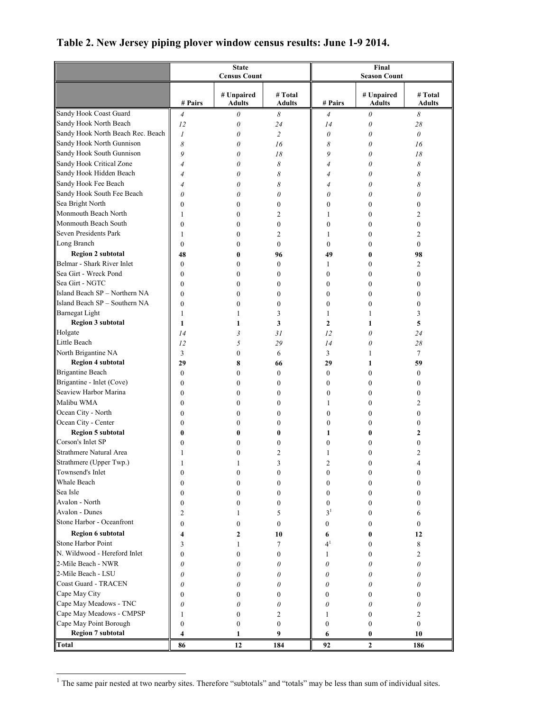|                                   |                  | <b>State</b><br><b>Census Count</b> |                          | Final<br><b>Season Count</b> |                             |                          |  |
|-----------------------------------|------------------|-------------------------------------|--------------------------|------------------------------|-----------------------------|--------------------------|--|
|                                   |                  |                                     |                          |                              |                             |                          |  |
|                                   | # Pairs          | # Unpaired<br><b>Adults</b>         | # Total<br><b>Adults</b> | # Pairs                      | # Unpaired<br><b>Adults</b> | # Total<br><b>Adults</b> |  |
| Sandy Hook Coast Guard            | $\overline{4}$   | 0                                   | 8                        | $\overline{4}$               | 0                           | 8                        |  |
| Sandy Hook North Beach            | 12               | $\theta$                            | 24                       | 14                           | 0                           | 28                       |  |
| Sandy Hook North Beach Rec. Beach | 1                | 0                                   | $\overline{c}$           | $\theta$                     | 0                           | $\theta$                 |  |
| Sandy Hook North Gunnison         | 8                | 0                                   | 16                       | 8                            | 0                           | 16                       |  |
| Sandy Hook South Gunnison         | 9                | 0                                   | 18                       | 9                            | 0                           | 18                       |  |
| Sandy Hook Critical Zone          | $\overline{4}$   | 0                                   | 8                        | $\overline{4}$               | 0                           | 8                        |  |
| Sandy Hook Hidden Beach           | 4                | 0                                   | 8                        | $\overline{4}$               | 0                           | 8                        |  |
| Sandy Hook Fee Beach              | 4                | 0                                   | 8                        | 4                            | 0                           | 8                        |  |
| Sandy Hook South Fee Beach        | 0                | 0                                   | 0                        | 0                            | 0                           | 0                        |  |
| Sea Bright North                  | $\boldsymbol{0}$ | $\boldsymbol{0}$                    | $\boldsymbol{0}$         | $\mathbf{0}$                 | 0                           | 0                        |  |
| Monmouth Beach North              | 1                | $\boldsymbol{0}$                    | 2                        | 1                            | 0                           | 2                        |  |
| Monmouth Beach South              | $\boldsymbol{0}$ | $\boldsymbol{0}$                    | $\boldsymbol{0}$         | $\mathbf{0}$                 | $\boldsymbol{0}$            | 0                        |  |
| Seven Presidents Park             | 1                | $\mathbf{0}$                        | $\overline{c}$           | 1                            | 0                           | 2                        |  |
| Long Branch                       | $\mathbf{0}$     | $\mathbf{0}$                        | $\boldsymbol{0}$         | $\mathbf{0}$                 | 0                           | $\boldsymbol{0}$         |  |
| <b>Region 2 subtotal</b>          | 48               | 0                                   | 96                       | 49                           | 0                           | 98                       |  |
| Belmar - Shark River Inlet        | $\boldsymbol{0}$ | $\boldsymbol{0}$                    | $\boldsymbol{0}$         | 1                            | $\boldsymbol{0}$            | 2                        |  |
| Sea Girt - Wreck Pond             | $\boldsymbol{0}$ | $\mathbf{0}$                        | $\boldsymbol{0}$         | $\mathbf{0}$                 | $\boldsymbol{0}$            | 0                        |  |
| Sea Girt - NGTC                   | $\mathbf{0}$     | $\boldsymbol{0}$                    | $\boldsymbol{0}$         | $\mathbf{0}$                 | 0                           | $\boldsymbol{0}$         |  |
| Island Beach SP - Northern NA     | $\bf{0}$         | $\boldsymbol{0}$                    | $\boldsymbol{0}$         | $\mathbf{0}$                 | $\boldsymbol{0}$            | 0                        |  |
| Island Beach SP - Southern NA     | $\boldsymbol{0}$ | $\boldsymbol{0}$                    | $\boldsymbol{0}$         | $\boldsymbol{0}$             | $\boldsymbol{0}$            | 0                        |  |
| <b>Barnegat Light</b>             | 1                | 1                                   | 3                        | $\mathbf{1}$                 | 1                           | 3                        |  |
| <b>Region 3 subtotal</b>          | 1                | 1                                   | 3                        | $\overline{2}$               | 1                           | 5                        |  |
| Holgate                           | 14               | 3                                   | 31                       | 12                           | 0                           | 24                       |  |
| Little Beach                      | 12               | 5                                   | 29                       | 14                           | 0                           | 28                       |  |
| North Brigantine NA               | 3                | $\boldsymbol{0}$                    | 6                        | 3                            | 1                           | 7                        |  |
| <b>Region 4 subtotal</b>          | 29               | 8                                   | 66                       | 29                           | 1                           | 59                       |  |
| <b>Brigantine Beach</b>           | $\boldsymbol{0}$ | $\mathbf{0}$                        | $\boldsymbol{0}$         | $\mathbf{0}$                 | $\theta$                    | 0                        |  |
| Brigantine - Inlet (Cove)         | $\boldsymbol{0}$ | $\boldsymbol{0}$                    | $\boldsymbol{0}$         | $\mathbf{0}$                 | $\mathbf{0}$                | 0                        |  |
| Seaview Harbor Marina             | $\boldsymbol{0}$ | $\boldsymbol{0}$                    | $\boldsymbol{0}$         | $\mathbf{0}$                 | 0                           | $\boldsymbol{0}$         |  |
| Malibu WMA                        | $\boldsymbol{0}$ | $\boldsymbol{0}$                    | $\boldsymbol{0}$         | 1                            | $\boldsymbol{0}$            | 2                        |  |
| Ocean City - North                | $\mathbf{0}$     | $\boldsymbol{0}$                    | $\boldsymbol{0}$         | $\mathbf{0}$                 | 0                           | $\boldsymbol{0}$         |  |
| Ocean City - Center               | $\mathbf{0}$     | $\theta$                            | $\boldsymbol{0}$         | $\mathbf{0}$                 | 0                           | $\boldsymbol{0}$         |  |
| <b>Region 5 subtotal</b>          | 0                | 0                                   | 0                        | 1                            | 0                           | $\mathbf{2}$             |  |
| Corson's Inlet SP                 | 0                | 0                                   | $\mathbf{0}$             | $\theta$                     | 0                           | 0                        |  |
| Strathmere Natural Area           | 1                | 0                                   | 2                        | 1                            | 0                           | 2                        |  |
| Strathmere (Upper Twp.)           |                  |                                     | 3                        | $\mathcal{D}$                | 0                           | 4                        |  |
| Townsend's Inlet                  | $\boldsymbol{0}$ | $\boldsymbol{0}$                    | $\boldsymbol{0}$         | $\boldsymbol{0}$             | 0                           | 0                        |  |
| Whale Beach                       | $\boldsymbol{0}$ | $\mathbf{0}$                        | $\boldsymbol{0}$         | $\boldsymbol{0}$             | 0                           | 0                        |  |
| Sea Isle                          | $\boldsymbol{0}$ | $\boldsymbol{0}$                    | $\boldsymbol{0}$         | $\boldsymbol{0}$             | 0                           | 0                        |  |
| Avalon - North                    | $\boldsymbol{0}$ | 0                                   | $\boldsymbol{0}$         | $\boldsymbol{0}$             | 0                           | 0                        |  |
| Avalon - Dunes                    | 2                | 1                                   | 5                        | 3 <sup>1</sup>               | 0                           | 6                        |  |
| Stone Harbor - Oceanfront         | 0                | 0                                   | $\boldsymbol{0}$         | $\boldsymbol{0}$             | 0                           | 0                        |  |
| Region 6 subtotal                 |                  |                                     |                          |                              |                             |                          |  |
| <b>Stone Harbor Point</b>         | 4                | 2                                   | 10                       | 6<br>4 <sup>1</sup>          | 0                           | 12                       |  |
| N. Wildwood - Hereford Inlet      | 3                |                                     | 7                        |                              | 0                           | 8                        |  |
| 2-Mile Beach - NWR                | 0                | 0                                   | $\boldsymbol{0}$         | 1                            | 0                           | 2                        |  |
|                                   | 0                | 0                                   | 0                        | 0                            | 0                           | 0                        |  |
| 2-Mile Beach - LSU                | 0                | 0                                   | 0                        | 0                            | 0                           | 0                        |  |
| Coast Guard - TRACEN              | 0                | 0                                   | 0                        | 0                            | 0                           | 0                        |  |
| Cape May City                     | 0                | 0                                   | $\boldsymbol{0}$         | $\boldsymbol{0}$             | 0                           | 0                        |  |
| Cape May Meadows - TNC            | 0                | 0                                   | 0                        | 0                            | 0                           | 0                        |  |
| Cape May Meadows - CMPSP          | 1                | 0                                   | 2                        | 1                            | 0                           | 2                        |  |
| Cape May Point Borough            | 0                | $\boldsymbol{0}$                    | $\boldsymbol{0}$         | $\boldsymbol{0}$             | 0                           | $\boldsymbol{0}$         |  |
| <b>Region 7 subtotal</b>          | 4                | 1                                   | 9                        | 6                            | 0                           | 10                       |  |
| <b>Total</b>                      | 86               | 12                                  | 184                      | 92                           | 2                           | 186                      |  |

## **Table 2. New Jersey piping plover window census results: June 1-9 2014.**

The same pair nested at two nearby sites. Therefore "subtotals" and "totals" may be less than sum of individual sites.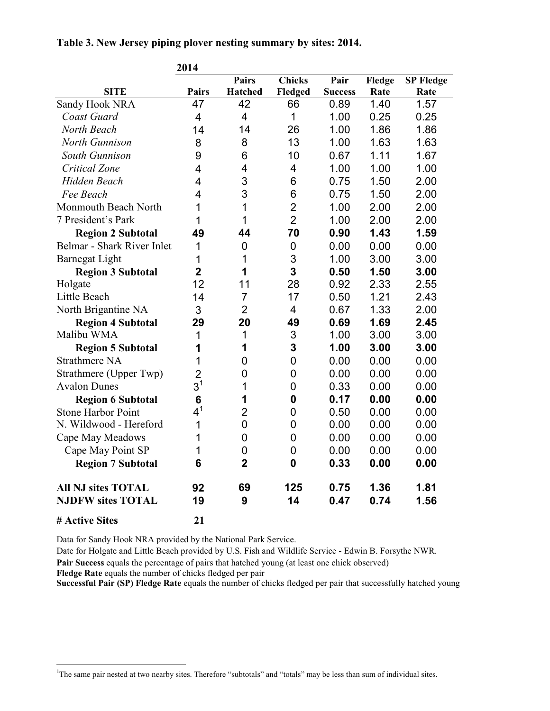**Table 3. New Jersey piping plover nesting summary by sites: 2014.** 

|                                                       | 2014                    |                |                |                |              |                  |
|-------------------------------------------------------|-------------------------|----------------|----------------|----------------|--------------|------------------|
|                                                       |                         | <b>Pairs</b>   | <b>Chicks</b>  | Pair           | Fledge       | <b>SP Fledge</b> |
| <b>SITE</b>                                           | <b>Pairs</b>            | <b>Hatched</b> | Fledged        | <b>Success</b> | Rate         | Rate             |
| Sandy Hook NRA                                        | 47                      | 42             | 66             | 0.89           | 1.40         | 1.57             |
| Coast Guard                                           | 4                       | 4              | 1              | 1.00           | 0.25         | 0.25             |
| North Beach                                           | 14                      | 14             | 26             | 1.00           | 1.86         | 1.86             |
| North Gunnison                                        | 8                       | 8              | 13             | 1.00           | 1.63         | 1.63             |
| South Gunnison                                        | 9                       | 6              | 10             | 0.67           | 1.11         | 1.67             |
| <b>Critical Zone</b>                                  | 4                       | 4              | 4              | 1.00           | 1.00         | 1.00             |
| Hidden Beach                                          | 4                       | 3              | 6              | 0.75           | 1.50         | 2.00             |
| Fee Beach                                             | $\overline{4}$          | 3              | 6              | 0.75           | 1.50         | 2.00             |
| Monmouth Beach North                                  | 1                       | $\mathbf{1}$   | $\overline{2}$ | 1.00           | 2.00         | 2.00             |
| 7 President's Park                                    | 1                       | 1              | $\overline{2}$ | 1.00           | 2.00         | 2.00             |
| <b>Region 2 Subtotal</b>                              | 49                      | 44             | 70             | 0.90           | 1.43         | 1.59             |
| Belmar - Shark River Inlet                            | 1                       | 0              | 0              | 0.00           | 0.00         | 0.00             |
| <b>Barnegat Light</b>                                 | 1                       | 1              | 3              | 1.00           | 3.00         | 3.00             |
| <b>Region 3 Subtotal</b>                              | $\overline{2}$          | 1              | 3              | 0.50           | 1.50         | 3.00             |
| Holgate                                               | 12                      | 11             | 28             | 0.92           | 2.33         | 2.55             |
| Little Beach                                          | 14                      | $\overline{7}$ | 17             | 0.50           | 1.21         | 2.43             |
| North Brigantine NA                                   | 3                       | $\overline{2}$ | 4              | 0.67           | 1.33         | 2.00             |
| <b>Region 4 Subtotal</b>                              | 29                      | 20             | 49             | 0.69           | 1.69         | 2.45             |
| Malibu WMA                                            | 1                       | 1              | 3              | 1.00           | 3.00         | 3.00             |
| <b>Region 5 Subtotal</b>                              | 1                       | 1              | 3              | 1.00           | 3.00         | 3.00             |
| <b>Strathmere NA</b>                                  | 1                       | 0              | $\mathbf 0$    | 0.00           | 0.00         | 0.00             |
| Strathmere (Upper Twp)                                | $\overline{\mathbf{c}}$ | 0              | $\mathbf 0$    | 0.00           | 0.00         | 0.00             |
| <b>Avalon Dunes</b>                                   | 3 <sup>1</sup>          | 1              | $\mathbf 0$    | 0.33           | 0.00         | 0.00             |
| <b>Region 6 Subtotal</b>                              | $6\phantom{1}6$         | 1              | $\mathbf 0$    | 0.17           | 0.00         | 0.00             |
| <b>Stone Harbor Point</b>                             | $4^1$                   | $\overline{2}$ | $\mathbf 0$    | 0.50           | 0.00         | 0.00             |
| N. Wildwood - Hereford                                | 1                       | $\overline{0}$ | $\mathbf 0$    | 0.00           | 0.00         | 0.00             |
| Cape May Meadows                                      | 1                       | 0              | $\mathbf 0$    | 0.00           | 0.00         | 0.00             |
| Cape May Point SP                                     | 1                       | 0              | $\mathbf 0$    | 0.00           | 0.00         | 0.00             |
| <b>Region 7 Subtotal</b>                              | 6                       | $\overline{2}$ | $\mathbf 0$    | 0.33           | 0.00         | 0.00             |
| <b>All NJ sites TOTAL</b><br><b>NJDFW sites TOTAL</b> | 92<br>19                | 69<br>9        | 125<br>14      | 0.75<br>0.47   | 1.36<br>0.74 | 1.81<br>1.56     |
| # Active Sites                                        | 21                      |                |                |                |              |                  |

Data for Sandy Hook NRA provided by the National Park Service.

Date for Holgate and Little Beach provided by U.S. Fish and Wildlife Service - Edwin B. Forsythe NWR. **Pair Success** equals the percentage of pairs that hatched young (at least one chick observed)

**Fledge Rate** equals the number of chicks fledged per pair

-

**Successful Pair (SP) Fledge Rate** equals the number of chicks fledged per pair that successfully hatched young

<sup>&</sup>lt;sup>1</sup>The same pair nested at two nearby sites. Therefore "subtotals" and "totals" may be less than sum of individual sites.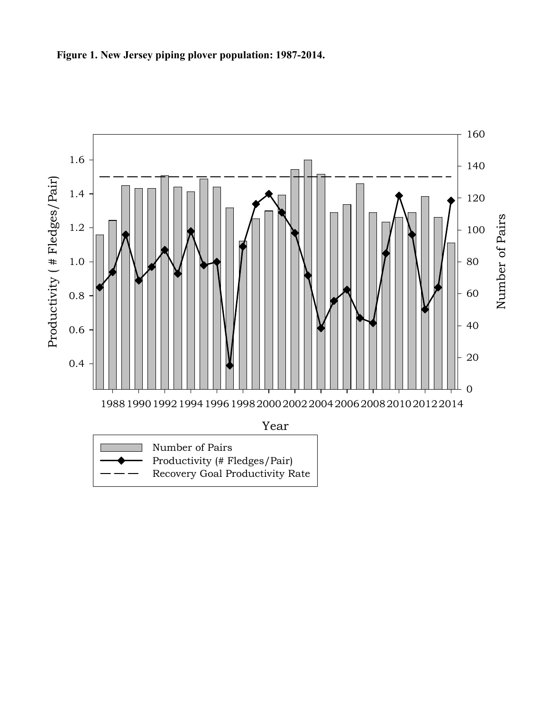